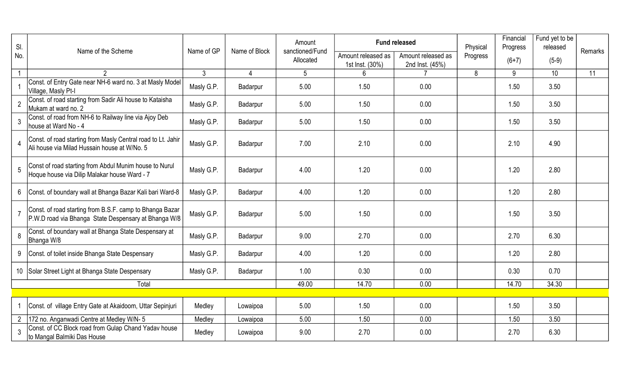| SI.            | Name of the Scheme                                                                                               | Name of GP     | Name of Block  | Amount<br>sanctioned/Fund |                                       | <b>Fund released</b>                  | Physical | Financial<br>Progress | Fund yet to be<br>released | Remarks |
|----------------|------------------------------------------------------------------------------------------------------------------|----------------|----------------|---------------------------|---------------------------------------|---------------------------------------|----------|-----------------------|----------------------------|---------|
| No.            |                                                                                                                  |                |                | Allocated                 | Amount released as<br>1st Inst. (30%) | Amount released as<br>2nd Inst. (45%) | Progress | $(6+7)$               | $(5-9)$                    |         |
|                | $\mathfrak{D}$                                                                                                   | 3 <sup>1</sup> | $\overline{4}$ | 5                         | $6\phantom{1}$                        |                                       | 8        | 9                     | 10 <sup>°</sup>            | 11      |
|                | Const. of Entry Gate near NH-6 ward no. 3 at Masly Model<br>Village, Masly Pt-I                                  | Masly G.P.     | Badarpur       | 5.00                      | 1.50                                  | 0.00                                  |          | 1.50                  | 3.50                       |         |
| $\overline{2}$ | Const. of road starting from Sadir Ali house to Kataisha<br>Mukam at ward no. 2                                  | Masly G.P.     | Badarpur       | 5.00                      | 1.50                                  | 0.00                                  |          | 1.50                  | 3.50                       |         |
| 3              | Const. of road from NH-6 to Railway line via Ajoy Deb<br>house at Ward No - 4                                    | Masly G.P.     | Badarpur       | 5.00                      | 1.50                                  | 0.00                                  |          | 1.50                  | 3.50                       |         |
| 4              | Const. of road starting from Masly Central road to Lt. Jahir<br>Ali house via Milad Hussain house at W/No. 5     | Masly G.P.     | Badarpur       | 7.00                      | 2.10                                  | 0.00                                  |          | 2.10                  | 4.90                       |         |
| 5              | Const of road starting from Abdul Munim house to Nurul<br>Hoque house via Dilip Malakar house Ward - 7           | Masly G.P.     | Badarpur       | 4.00                      | 1.20                                  | 0.00                                  |          | 1.20                  | 2.80                       |         |
|                | 6 Const. of boundary wall at Bhanga Bazar Kali bari Ward-8                                                       | Masly G.P.     | Badarpur       | 4.00                      | 1.20                                  | 0.00                                  |          | 1.20                  | 2.80                       |         |
|                | Const. of road starting from B.S.F. camp to Bhanga Bazar<br>P.W.D road via Bhanga State Despensary at Bhanga W/8 | Masly G.P.     | Badarpur       | 5.00                      | 1.50                                  | 0.00                                  |          | 1.50                  | 3.50                       |         |
| 8              | Const. of boundary wall at Bhanga State Despensary at<br>Bhanga W/8                                              | Masly G.P.     | Badarpur       | 9.00                      | 2.70                                  | 0.00                                  |          | 2.70                  | 6.30                       |         |
|                | 9 Const. of toilet inside Bhanga State Despensary                                                                | Masly G.P.     | Badarpur       | 4.00                      | 1.20                                  | 0.00                                  |          | 1.20                  | 2.80                       |         |
|                | 10 Solar Street Light at Bhanga State Despensary                                                                 | Masly G.P.     | Badarpur       | 1.00                      | 0.30                                  | 0.00                                  |          | 0.30                  | 0.70                       |         |
|                | Total                                                                                                            |                |                | 49.00                     | 14.70                                 | 0.00                                  |          | 14.70                 | 34.30                      |         |
|                |                                                                                                                  |                |                |                           |                                       |                                       |          |                       |                            |         |
|                | Const. of village Entry Gate at Akaidoom, Uttar Sepinjuri                                                        | Medley         | Lowaipoa       | 5.00                      | 1.50                                  | 0.00                                  |          | 1.50                  | 3.50                       |         |
|                | 2   172 no. Anganwadi Centre at Medley W/N-5                                                                     | Medley         | Lowaipoa       | 5.00                      | 1.50                                  | 0.00                                  |          | 1.50                  | 3.50                       |         |
| 3              | Const. of CC Block road from Gulap Chand Yadav house<br>to Mangal Balmiki Das House                              | Medley         | Lowaipoa       | 9.00                      | 2.70                                  | 0.00                                  |          | 2.70                  | 6.30                       |         |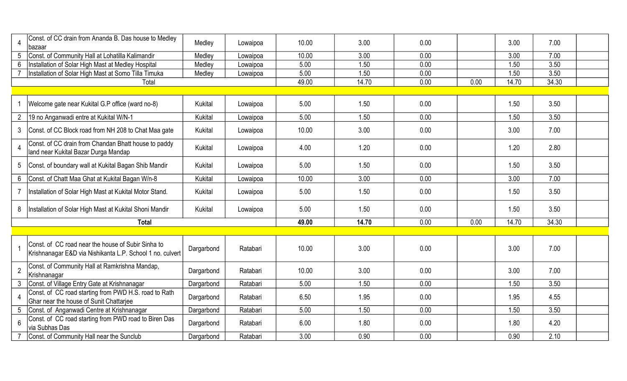|                 | Const. of CC drain from Ananda B. Das house to Medley<br>bazaar                                                 | Medley         | Lowaipoa | 10.00 | 3.00  | 0.00 |      | 3.00  | 7.00  |  |
|-----------------|-----------------------------------------------------------------------------------------------------------------|----------------|----------|-------|-------|------|------|-------|-------|--|
| 5               | Const. of Community Hall at Lohatilla Kalimandir                                                                | Medley         | Lowaipoa | 10.00 | 3.00  | 0.00 |      | 3.00  | 7.00  |  |
| $6\phantom{.}$  | Installation of Solar High Mast at Medley Hospital                                                              | Medley         | Lowaipoa | 5.00  | 1.50  | 0.00 |      | 1.50  | 3.50  |  |
|                 | Installation of Solar High Mast at Somo Tilla Timuka                                                            | Medley         | Lowaipoa | 5.00  | 1.50  | 0.00 |      | 1.50  | 3.50  |  |
|                 | Total                                                                                                           |                |          | 49.00 | 14.70 | 0.00 | 0.00 | 14.70 | 34.30 |  |
|                 |                                                                                                                 |                |          |       |       |      |      |       |       |  |
|                 | Welcome gate near Kukital G.P office (ward no-8)                                                                | Kukital        | Lowaipoa | 5.00  | 1.50  | 0.00 |      | 1.50  | 3.50  |  |
|                 | 2   19 no Anganwadi entre at Kukital W/N-1                                                                      | Kukital        | Lowaipoa | 5.00  | 1.50  | 0.00 |      | 1.50  | 3.50  |  |
|                 | 3 Const. of CC Block road from NH 208 to Chat Maa gate                                                          | Kukital        | Lowaipoa | 10.00 | 3.00  | 0.00 |      | 3.00  | 7.00  |  |
|                 | Const. of CC drain from Chandan Bhatt house to paddy<br>Iand near Kukital Bazar Durga Mandap                    | <b>Kukital</b> | Lowaipoa | 4.00  | 1.20  | 0.00 |      | 1.20  | 2.80  |  |
| 5               | Const. of boundary wall at Kukital Bagan Shib Mandir                                                            | Kukital        | Lowaipoa | 5.00  | 1.50  | 0.00 |      | 1.50  | 3.50  |  |
|                 | 6 Const. of Chatt Maa Ghat at Kukital Bagan W/n-8                                                               | Kukital        | Lowaipoa | 10.00 | 3.00  | 0.00 |      | 3.00  | 7.00  |  |
|                 | Installation of Solar High Mast at Kukital Motor Stand.                                                         | Kukital        | Lowaipoa | 5.00  | 1.50  | 0.00 |      | 1.50  | 3.50  |  |
|                 | 8   Installation of Solar High Mast at Kukital Shoni Mandir                                                     | Kukital        | Lowaipoa | 5.00  | 1.50  | 0.00 |      | 1.50  | 3.50  |  |
|                 | <b>Total</b>                                                                                                    |                |          | 49.00 | 14.70 | 0.00 | 0.00 | 14.70 | 34.30 |  |
|                 |                                                                                                                 |                |          |       |       |      |      |       |       |  |
|                 | Const. of CC road near the house of Subir Sinha to<br>Krishnanagar E&D via Nishikanta L.P. School 1 no. culvert | Dargarbond     | Ratabari | 10.00 | 3.00  | 0.00 |      | 3.00  | 7.00  |  |
| $\overline{2}$  | Const. of Community Hall at Ramkrishna Mandap,<br>Krishnanagar                                                  | Dargarbond     | Ratabari | 10.00 | 3.00  | 0.00 |      | 3.00  | 7.00  |  |
| 3               | Const. of Village Entry Gate at Krishnanagar                                                                    | Dargarbond     | Ratabari | 5.00  | 1.50  | 0.00 |      | 1.50  | 3.50  |  |
| 4               | Const. of CC road starting from PWD H.S. road to Rath<br>Ghar near the house of Sunit Chattariee                | Dargarbond     | Ratabari | 6.50  | 1.95  | 0.00 |      | 1.95  | 4.55  |  |
| $5\phantom{.0}$ | Const. of Anganwadi Centre at Krishnanagar                                                                      | Dargarbond     | Ratabari | 5.00  | 1.50  | 0.00 |      | 1.50  | 3.50  |  |
| 6               | Const. of CC road starting from PWD road to Biren Das<br>via Subhas Das                                         | Dargarbond     | Ratabari | 6.00  | 1.80  | 0.00 |      | 1.80  | 4.20  |  |
|                 | Const. of Community Hall near the Sunclub                                                                       | Dargarbond     | Ratabari | 3.00  | 0.90  | 0.00 |      | 0.90  | 2.10  |  |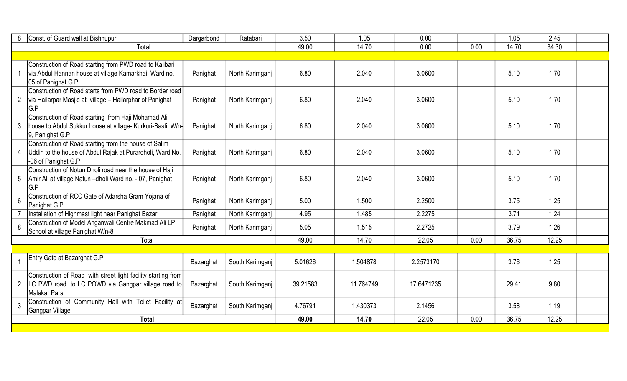| 8              | Const. of Guard wall at Bishnupur                                                                                                             | Dargarbond | Ratabari        | 3.50     | 1.05      | 0.00       |      | 1.05  | 2.45  |  |
|----------------|-----------------------------------------------------------------------------------------------------------------------------------------------|------------|-----------------|----------|-----------|------------|------|-------|-------|--|
|                | <b>Total</b>                                                                                                                                  |            |                 | 49.00    | 14.70     | 0.00       | 0.00 | 14.70 | 34.30 |  |
|                |                                                                                                                                               |            |                 |          |           |            |      |       |       |  |
|                | Construction of Road starting from PWD road to Kalibari<br>via Abdul Hannan house at village Kamarkhai, Ward no.<br>05 of Panighat G.P        | Panighat   | North Karimganj | 6.80     | 2.040     | 3.0600     |      | 5.10  | 1.70  |  |
|                | Construction of Road starts from PWD road to Border road<br>2   via Hailarpar Masjid at village – Hailarphar of Panighat<br>G.P               | Panighat   | North Karimganj | 6.80     | 2.040     | 3.0600     |      | 5.10  | 1.70  |  |
| 3              | Construction of Road starting from Haji Mohamad Ali<br>house to Abdul Sukkur house at village- Kurkuri-Basti, W/n-<br>9, Panighat G.P         | Panighat   | North Karimganj | 6.80     | 2.040     | 3.0600     |      | 5.10  | 1.70  |  |
|                | Construction of Road starting from the house of Salim<br>4   Uddin to the house of Abdul Rajak at Purardholi, Ward No.<br>-06 of Panighat G.P | Panighat   | North Karimganj | 6.80     | 2.040     | 3.0600     |      | 5.10  | 1.70  |  |
|                | Construction of Notun Dholi road near the house of Haji<br>5   Amir Ali at village Natun - dholi Ward no. - 07, Panighat<br>G.P               | Panighat   | North Karimganj | 6.80     | 2.040     | 3.0600     |      | 5.10  | 1.70  |  |
| $6\phantom{a}$ | Construction of RCC Gate of Adarsha Gram Yojana of<br>Panighat G.P                                                                            | Panighat   | North Karimganj | 5.00     | 1.500     | 2.2500     |      | 3.75  | 1.25  |  |
|                | Installation of Highmast light near Panighat Bazar                                                                                            | Panighat   | North Karimganj | 4.95     | 1.485     | 2.2275     |      | 3.71  | 1.24  |  |
| 8              | Construction of Model Anganwali Centre Makmad Ali LP<br>School at village Panighat W/n-8                                                      | Panighat   | North Karimganj | 5.05     | 1.515     | 2.2725     |      | 3.79  | 1.26  |  |
|                | Total                                                                                                                                         |            |                 | 49.00    | 14.70     | 22.05      | 0.00 | 36.75 | 12.25 |  |
|                |                                                                                                                                               |            |                 |          |           |            |      |       |       |  |
|                | Entry Gate at Bazarghat G.P                                                                                                                   | Bazarghat  | South Karimganj | 5.01626  | 1.504878  | 2.2573170  |      | 3.76  | 1.25  |  |
|                | Construction of Road with street light facility starting from<br>2  LC PWD road to LC POWD via Gangpar village road to<br>Malakar Para        | Bazarghat  | South Karimganj | 39.21583 | 11.764749 | 17.6471235 |      | 29.41 | 9.80  |  |
| 3              | Construction of Community Hall with Toilet Facility at<br>Gangpar Village                                                                     | Bazarghat  | South Karimganj | 4.76791  | 1.430373  | 2.1456     |      | 3.58  | 1.19  |  |
|                | <b>Total</b>                                                                                                                                  |            |                 | 49.00    | 14.70     | 22.05      | 0.00 | 36.75 | 12.25 |  |
|                |                                                                                                                                               |            |                 |          |           |            |      |       |       |  |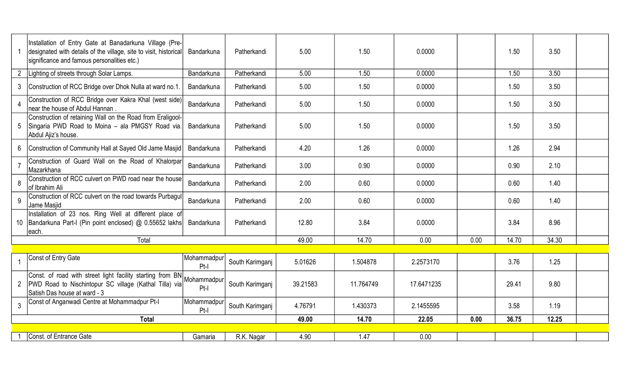|                | Installation of Entry Gate at Banadarkuna Village (Pre-<br>designated with details of the village, site to visit, historical<br>significance and famous personalities etc.) | Bandarkuna            | Patherkandi     | 5.00     | 1.50      | 0.0000     |      | 1.50  | 3.50  |  |
|----------------|-----------------------------------------------------------------------------------------------------------------------------------------------------------------------------|-----------------------|-----------------|----------|-----------|------------|------|-------|-------|--|
| $\overline{2}$ | Lighting of streets through Solar Lamps.                                                                                                                                    | Bandarkuna            | Patherkandi     | 5.00     | 1.50      | 0.0000     |      | 1.50  | 3.50  |  |
| 3              | Construction of RCC Bridge over Dhok Nulla at ward no.1.                                                                                                                    | Bandarkuna            | Patherkandi     | 5.00     | 1.50      | 0.0000     |      | 1.50  | 3.50  |  |
|                | Construction of RCC Bridge over Kakra Khal (west side)<br>near the house of Abdul Hannan.                                                                                   | Bandarkuna            | Patherkandi     | 5.00     | 1.50      | 0.0000     |      | 1.50  | 3.50  |  |
|                | Construction of retaining Wall on the Road from Eraligool-<br>5 Singaria PWD Road to Moina - ala PMGSY Road via.<br>Abdul Ajiz's house.                                     | Bandarkuna            | Patherkandi     | 5.00     | 1.50      | 0.0000     |      | 1.50  | 3.50  |  |
| 6              | Construction of Community Hall at Sayed Old Jame Masjid                                                                                                                     | Bandarkuna            | Patherkandi     | 4.20     | 1.26      | 0.0000     |      | 1.26  | 2.94  |  |
| $\overline{7}$ | Construction of Guard Wall on the Road of Khalorpar<br>Mazarkhana                                                                                                           | Bandarkuna            | Patherkandi     | 3.00     | 0.90      | 0.0000     |      | 0.90  | 2.10  |  |
| 8              | Construction of RCC culvert on PWD road near the house<br>of Ibrahim Ali                                                                                                    | Bandarkuna            | Patherkandi     | 2.00     | 0.60      | 0.0000     |      | 0.60  | 1.40  |  |
| 9              | Construction of RCC culvert on the road towards Purbagul<br>Jame Masjid                                                                                                     | Bandarkuna            | Patherkandi     | 2.00     | 0.60      | 0.0000     |      | 0.60  | 1.40  |  |
|                | Installation of 23 nos. Ring Well at different place of<br>10 Bandarkuna Part-I (Pin point enclosed) @ 0.55652 lakhs<br>each.                                               | Bandarkuna            | Patherkandi     | 12.80    | 3.84      | 0.0000     |      | 3.84  | 8.96  |  |
|                | Total                                                                                                                                                                       |                       |                 | 49.00    | 14.70     | 0.00       | 0.00 | 14.70 | 34.30 |  |
|                |                                                                                                                                                                             |                       |                 |          |           |            |      |       |       |  |
|                | Const of Entry Gate                                                                                                                                                         | Mohammadpur<br>Pt-I   | South Karimganj | 5.01626  | 1.504878  | 2.2573170  |      | 3.76  | 1.25  |  |
| $2^{\circ}$    | Const. of road with street light facility starting from BN<br> PWD Road to Nischintopur SC village (Kathal Tilla) via <br>Satish Das house at ward - 3                      | Mohammadpur<br>$Pt-I$ | South Karimganj | 39.21583 | 11.764749 | 17.6471235 |      | 29.41 | 9.80  |  |
| $\mathfrak{Z}$ | Const of Anganwadi Centre at Mohammadpur Pt-I                                                                                                                               | Mohammadpur<br>Pt-I   | South Karimganj | 4.76791  | 1.430373  | 2.1455595  |      | 3.58  | 1.19  |  |
|                | <b>Total</b>                                                                                                                                                                |                       |                 | 49.00    | 14.70     | 22.05      | 0.00 | 36.75 | 12.25 |  |
|                |                                                                                                                                                                             |                       |                 |          |           |            |      |       |       |  |
|                | Const. of Entrance Gate                                                                                                                                                     | Gamaria               | R.K. Nagar      | 4.90     | 1.47      | 0.00       |      |       |       |  |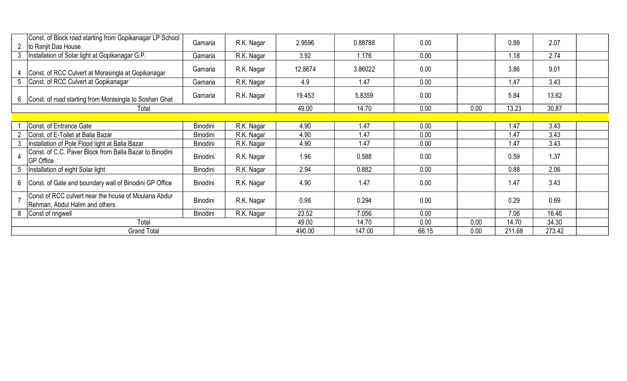|   | Const. of Block road starting from Gopikanagar LP School<br>to Ranjit Das House        | Gamaria  | R.K. Nagar | 2.9596  | 0.88788 | 0.00  |       | 0.89   | 2.07   |  |
|---|----------------------------------------------------------------------------------------|----------|------------|---------|---------|-------|-------|--------|--------|--|
| 3 | Installation of Solar light at Gopikanagar G.P.                                        | Gamaria  | R.K. Nagar | 3.92    | 1.176   | 0.00  |       | 1.18   | 2.74   |  |
|   | Const. of RCC Culvert at Morasingla at Gopikanagar                                     | Gamaria  | R.K. Nagar | 12.8674 | 3.86022 | 0.00  |       | 3.86   | 9.01   |  |
| 5 | Const. of RCC Culvert at Gopikanagar                                                   | Gamaria  | R.K. Nagar | 4.9     | 1.47    | 0.00  |       | 1.47   | 3.43   |  |
| 6 | Const. of road starting from Morasingla to Soshan Ghat                                 | Gamaria  | R.K. Nagar | 19.453  | 5.8359  | 0.00  |       | 5.84   | 13.62  |  |
|   | Total                                                                                  |          |            | 49.00   | 14.70   | 0.00  | 0.00  | 13.23  | 30.87  |  |
|   |                                                                                        |          |            |         |         |       |       |        |        |  |
|   | Const. of Entrance Gate                                                                | Binodini | R.K. Nagar | 4.90    | 1.47    | 0.00  |       | 1.47   | 3.43   |  |
|   | Const. of E-Toilet at Balia Bazar                                                      | Binodini | R.K. Nagar | 4.90    | 1.47    | 0.00  |       | 1.47   | 3.43   |  |
|   | Installation of Pole Flood light at Balia Bazar                                        | Binodini | R.K. Nagar | 4.90    | 1.47    | 0.00  |       | 1.47   | 3.43   |  |
|   | Const. of C.C. Paver Block from Balia Bazar to Binodini<br><b>GP Office</b>            | Binodini | R.K. Nagar | 1.96    | 0.588   | 0.00  |       | 0.59   | 1.37   |  |
| 5 | Installation of eight Solar light                                                      | Binodini | R.K. Nagar | 2.94    | 0.882   | 0.00  |       | 0.88   | 2.06   |  |
| 6 | Const. of Gate and boundary wall of Binodini GP Office                                 | Binodini | R.K. Nagar | 4.90    | 1.47    | 0.00  |       | 1.47   | 3.43   |  |
|   | Const of RCC culvert near the house of Moulana Abdur<br>Rehman, Abdul Halim and others | Binodini | R.K. Nagar | 0.98    | 0.294   | 0.00  |       | 0.29   | 0.69   |  |
| 8 | Const of ringwell                                                                      | Binodini | R.K. Nagar | 23.52   | 7.056   | 0.00  |       | 7.06   | 16.46  |  |
|   | Total                                                                                  | 49.00    | 14.70      | 0.00    | 0.00    | 14.70 | 34.30 |        |        |  |
|   | <b>Grand Total</b>                                                                     |          |            | 490.00  | 147.00  | 66.15 | 0.00  | 211.68 | 273.42 |  |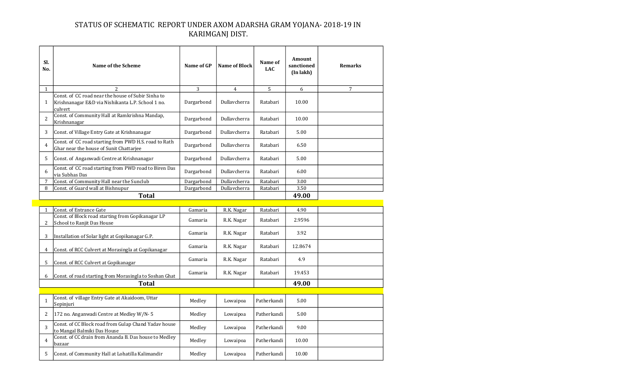## STATUS OF SCHEMATIC REPORT UNDER AXOM ADARSHA GRAM YOJANA- 2018-19 IN KARIMGANJ DIST.

| SI.<br>No.     | <b>Name of the Scheme</b>                                                                                          | Name of GP | <b>Name of Block</b> | Name of<br><b>LAC</b> | Amount<br>sanctioned<br>(Inlakh) | <b>Remarks</b> |
|----------------|--------------------------------------------------------------------------------------------------------------------|------------|----------------------|-----------------------|----------------------------------|----------------|
| $\mathbf{1}$   | 2                                                                                                                  | 3          | 4                    | 5                     | 6                                | 7              |
| 1              | Const. of CC road near the house of Subir Sinha to<br>Krishnanagar E&D via Nishikanta L.P. School 1 no.<br>culvert | Dargarbond | Dullavcherra         | Ratabari              | 10.00                            |                |
| $\overline{2}$ | Const. of Community Hall at Ramkrishna Mandap,<br>Krishnanagar                                                     | Dargarbond | Dullavcherra         | Ratabari              | 10.00                            |                |
| 3              | Const. of Village Entry Gate at Krishnanagar                                                                       | Dargarbond | Dullavcherra         | Ratabari              | 5.00                             |                |
| 4              | Const. of CC road starting from PWD H.S. road to Rath<br>Ghar near the house of Sunit Chattarjee                   | Dargarbond | Dullavcherra         | Ratabari              | 6.50                             |                |
| 5              | Const. of Anganwadi Centre at Krishnanagar                                                                         | Dargarbond | Dullavcherra         | Ratabari              | 5.00                             |                |
| 6              | Const. of CC road starting from PWD road to Biren Das<br>via Subhas Das                                            | Dargarbond | Dullavcherra         | Ratabari              | 6.00                             |                |
| 7              | Const. of Community Hall near the Sunclub                                                                          | Dargarbond | Dullavcherra         | Ratabari              | 3.00                             |                |
| 8              | Const. of Guard wall at Bishnupur                                                                                  | Dargarbond | Dullavcherra         | Ratabari              | 3.50                             |                |
|                | <b>Total</b>                                                                                                       |            |                      |                       | 49.00                            |                |
|                |                                                                                                                    |            |                      |                       |                                  |                |
| $\mathbf{1}$   | <b>Const. of Entrance Gate</b>                                                                                     | Gamaria    | R.K. Nagar           | Ratabari              | 4.90                             |                |
| 2              | Const. of Block road starting from Gopikanagar LP<br>School to Ranjit Das House                                    | Gamaria    | R.K. Nagar           | Ratabari              | 2.9596                           |                |
| 3              | Installation of Solar light at Gopikanagar G.P.                                                                    | Gamaria    | R.K. Nagar           | Ratabari              | 3.92                             |                |
| 4              | Const. of RCC Culvert at Morasingla at Gopikanagar                                                                 | Gamaria    | R.K. Nagar           | Ratabari              | 12.8674                          |                |
| 5              | Const. of RCC Culvert at Gopikanagar                                                                               | Gamaria    | R.K. Nagar           | Ratabari              | 4.9                              |                |
| 6              | Const. of road starting from Morasingla to Soshan Ghat                                                             | Gamaria    | R.K. Nagar           | Ratabari              | 19.453                           |                |
|                | <b>Total</b>                                                                                                       |            |                      |                       | 49.00                            |                |
|                |                                                                                                                    |            |                      |                       |                                  |                |
| $\mathbf{1}$   | Const. of village Entry Gate at Akaidoom, Uttar<br>Sepinjuri                                                       | Medley     | Lowaipoa             | Patherkandi           | 5.00                             |                |
| 2              | 172 no. Anganwadi Centre at Medley W/N-5                                                                           | Medley     | Lowaipoa             | Patherkandi           | 5.00                             |                |

to Mangal Balmiki Das House Medley Lowaipoa Patherkandi 9.00

Const. of CC drain from Ananda B. Das house to Medley bazaar Medley Lowaipoa Patherkandi 10.00

5 Const. of Community Hall at Lohatilla Kalimandir Medley Lowaipoa Patherkandi 10.00

3

4

Const. of CC Block road from Gulap Chand Yadav house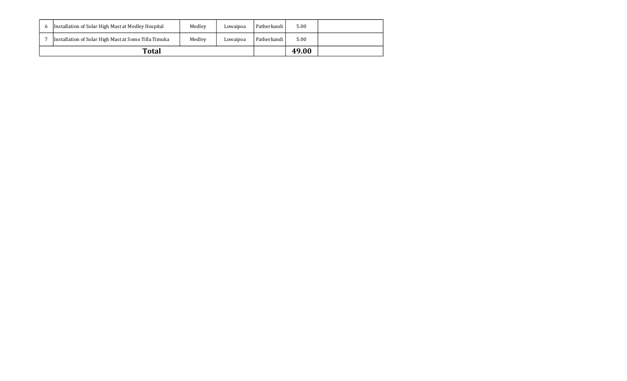|   | <b>Total</b>                                         |        |          |             | 49.00 |  |
|---|------------------------------------------------------|--------|----------|-------------|-------|--|
|   | Installation of Solar High Mast at Somo Tilla Timuka | Medley | Lowaipoa | Patherkandi | 5.00  |  |
| b | Installation of Solar High Mast at Medley Hospital   | Medley | Lowaipoa | Patherkandi | 5.00  |  |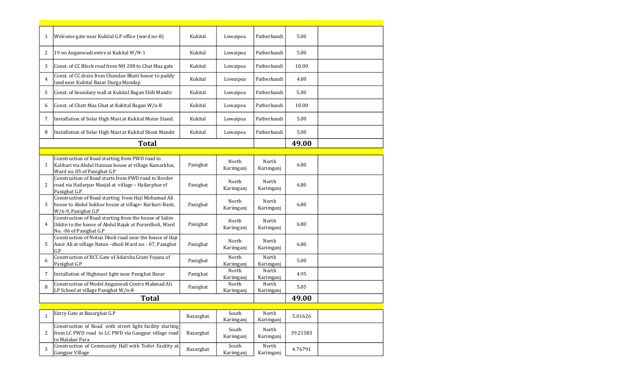| $\mathbf{1}$ | Welcome gate near Kukital G.P office (ward no-8)                                                                                           | Kukital   | Lowaipoa           | Patherkandi        | 5.00     |  |
|--------------|--------------------------------------------------------------------------------------------------------------------------------------------|-----------|--------------------|--------------------|----------|--|
| 2            | 19 no Anganwadi entre at Kukital W/N-1                                                                                                     | Kukital   | Lowaipoa           | Patherkandi        | 5.00     |  |
| 3            | Const. of CC Block road from NH 208 to Chat Maa gate                                                                                       | Kukital   | Lowaipoa           | Patherkandi        | 10.00    |  |
| 4            | Const. of CC drain from Chandan Bhatt house to paddy<br>land near Kukital Bazar Durga Mandap                                               | Kukital   | Lowaipoa           | Patherkandi        | 4.00     |  |
| 5            | Const. of boundary wall at Kukital Bagan Shib Mandir                                                                                       | Kukital   | Lowaipoa           | Patherkandi        | 5.00     |  |
| 6            | Const. of Chatt Maa Ghat at Kukital Bagan W/n-8                                                                                            | Kukital   | Lowaipoa           | Patherkandi        | 10.00    |  |
| 7            | Installation of Solar High Mast at Kukital Motor Stand.                                                                                    | Kukital   | Lowaipoa           | Patherkandi        | 5.00     |  |
| 8            | Installation of Solar High Mast at Kukital Shoni Mandir                                                                                    | Kukital   | Lowaipoa           | Patherkandi        | 5.00     |  |
|              | <b>Total</b>                                                                                                                               |           |                    |                    | 49.00    |  |
|              |                                                                                                                                            |           |                    |                    |          |  |
| $\mathbf{1}$ | Construction of Road starting from PWD road to<br>Kalibari via Abdul Hannan house at village Kamarkhai,<br>Ward no. 05 of Panighat G.P     | Panighat  | North<br>Karimganj | North<br>Karimganj | 6.80     |  |
| 2            | Construction of Road starts from PWD road to Border<br>road via Hailarpar Masjid at village - Hailarphar of<br>Panighat G.P                | Panighat  | North<br>Karimganj | North<br>Karimganj | 6.80     |  |
| 3            | Construction of Road starting from Haji Mohamad Ali<br>house to Abdul Sukkur house at village- Kurkuri-Basti,<br>W/n-9, Panighat G.P       | Panighat  | North<br>Karimganj | North<br>Karimganj | 6.80     |  |
| 4            | Construction of Road starting from the house of Salim<br>Uddin to the house of Abdul Rajak at Purardholi, Ward<br>No. - 06 of Panighat G.P | Panighat  | North<br>Karimganj | North<br>Karimganj | 6.80     |  |
| 5            | Construction of Notun Dholi road near the house of Haji<br>Amir Ali at village Natun - dholi Ward no. - 07, Panighat<br>G.P                | Panighat  | North<br>Karimganj | North<br>Karimganj | 6.80     |  |
| 6            | Construction of RCC Gate of Adarsha Gram Yojana of<br>Panighat G.P                                                                         | Panighat  | North<br>Karimganj | North<br>Karimganj | 5.00     |  |
| 7            | Installation of Highmast light near Panighat Bazar                                                                                         | Panighat  | North<br>Karimganj | North<br>Karimganj | 4.95     |  |
| 8            | Construction of Model Anganwali Centre Makmad Ali<br>LP School at village Panighat W/n-8                                                   | Panighat  | North<br>Karimganj | North<br>Karimganj | 5.05     |  |
|              | <b>Total</b>                                                                                                                               |           |                    |                    | 49.00    |  |
|              |                                                                                                                                            |           |                    |                    |          |  |
| $\mathbf{1}$ | Entry Gate at Bazarghat G.P                                                                                                                | Bazarghat | South<br>Karimganj | North<br>Karimganj | 5.01626  |  |
| 2            | Construction of Road with street light facility starting<br>from LC PWD road to LC PWD via Gangpar village road<br>to Malakar Para         | Bazarghat | South<br>Karimganj | North<br>Karimganj | 39.21583 |  |
| 3            | Construction of Community Hall with Toilet Facility at<br>Gangpar Village                                                                  | Bazarghat | South<br>Karimganj | North<br>Karimganj | 4.76791  |  |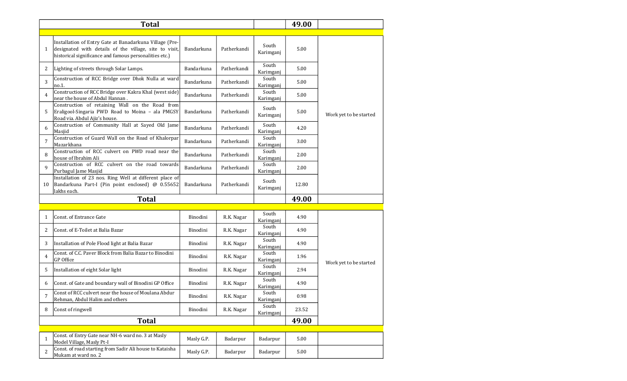|                | <b>Total</b>                                                                                                                                                                |            |             |                    | 49.00 |                        |
|----------------|-----------------------------------------------------------------------------------------------------------------------------------------------------------------------------|------------|-------------|--------------------|-------|------------------------|
|                |                                                                                                                                                                             |            |             |                    |       |                        |
| $\mathbf{1}$   | Installation of Entry Gate at Banadarkuna Village (Pre-<br>designated with details of the village, site to visit,<br>historical significance and famous personalities etc.) | Bandarkuna | Patherkandi | South<br>Karimganj | 5.00  |                        |
| 2              | Lighting of streets through Solar Lamps.                                                                                                                                    | Bandarkuna | Patherkandi | South<br>Karimganj | 5.00  |                        |
| 3              | Construction of RCC Bridge over Dhok Nulla at ward<br>no.1.                                                                                                                 | Bandarkuna | Patherkandi | South<br>Karimganj | 5.00  |                        |
| $\overline{4}$ | Construction of RCC Bridge over Kakra Khal (west side)<br>near the house of Abdul Hannan.                                                                                   | Bandarkuna | Patherkandi | South<br>Karimganj | 5.00  |                        |
| 5              | Construction of retaining Wall on the Road from<br>Eraligool-Singaria PWD Road to Moina - ala PMGSY<br>Road via. Abdul Ajiz's house.                                        | Bandarkuna | Patherkandi | South<br>Karimganj | 5.00  | Work yet to be started |
| 6              | Construction of Community Hall at Sayed Old Jame<br>Masjid                                                                                                                  | Bandarkuna | Patherkandi | South<br>Karimganj | 4.20  |                        |
| $\overline{7}$ | Construction of Guard Wall on the Road of Khalorpar<br>Mazarkhana                                                                                                           | Bandarkuna | Patherkandi | South<br>Karimganj | 3.00  |                        |
| 8              | Construction of RCC culvert on PWD road near the<br>house of Ibrahim Ali                                                                                                    | Bandarkuna | Patherkandi | South<br>Karimganj | 2.00  |                        |
| $\mathbf{q}$   | Construction of RCC culvert on the road towards<br>Purbagul Jame Masjid                                                                                                     | Bandarkuna | Patherkandi | South<br>Karimganj | 2.00  |                        |
| 10             | Installation of 23 nos. Ring Well at different place of<br>Bandarkuna Part-I (Pin point enclosed) @ 0.55652<br>lakhs each.                                                  | Bandarkuna | Patherkandi | South<br>Karimganj | 12.80 |                        |
|                | <b>Total</b>                                                                                                                                                                |            |             |                    | 49.00 |                        |
|                |                                                                                                                                                                             |            |             |                    |       |                        |
| $\mathbf{1}$   | <b>Const. of Entrance Gate</b>                                                                                                                                              | Binodini   | R.K. Nagar  | South<br>Karimganj | 4.90  |                        |
| 2              | Const. of E-Toilet at Balia Bazar                                                                                                                                           | Binodini   | R.K. Nagar  | South<br>Karimganj | 4.90  |                        |
| 3              | Installation of Pole Flood light at Balia Bazar                                                                                                                             | Binodini   | R.K. Nagar  | South<br>Karimganj | 4.90  |                        |
| 4              | Const. of C.C. Paver Block from Balia Bazar to Binodini<br>GP Office                                                                                                        | Binodini   | R.K. Nagar  | South<br>Karimganj | 1.96  | Work yet to be started |
| 5              | Installation of eight Solar light                                                                                                                                           | Binodini   | R.K. Nagar  | South<br>Karimganj | 2.94  |                        |
| 6              | Const. of Gate and boundary wall of Binodini GP Office                                                                                                                      | Binodini   | R.K. Nagar  | South<br>Karimganj | 4.90  |                        |
| 7              | Const of RCC culvert near the house of Moulana Abdur<br>Rehman, Abdul Halim and others                                                                                      | Binodini   | R.K. Nagar  | South<br>Karimganj | 0.98  |                        |
| 8              | Const of ringwell                                                                                                                                                           | Binodini   | R.K. Nagar  | South<br>Karimganj | 23.52 |                        |
|                | <b>Total</b>                                                                                                                                                                |            |             |                    | 49.00 |                        |

| Const. of Entry Gate near NH-6 ward no. 3 at Masly<br>Model Village, Masly Pt-I | Masly G.P. | Badarpur | Badarpur | 5.00 |  |
|---------------------------------------------------------------------------------|------------|----------|----------|------|--|
| Const. of road starting from Sadir Ali house to Kataisha<br>Mukam at ward no. 2 | Masly G.P. | Badarpur | Badarpur | 5.00 |  |